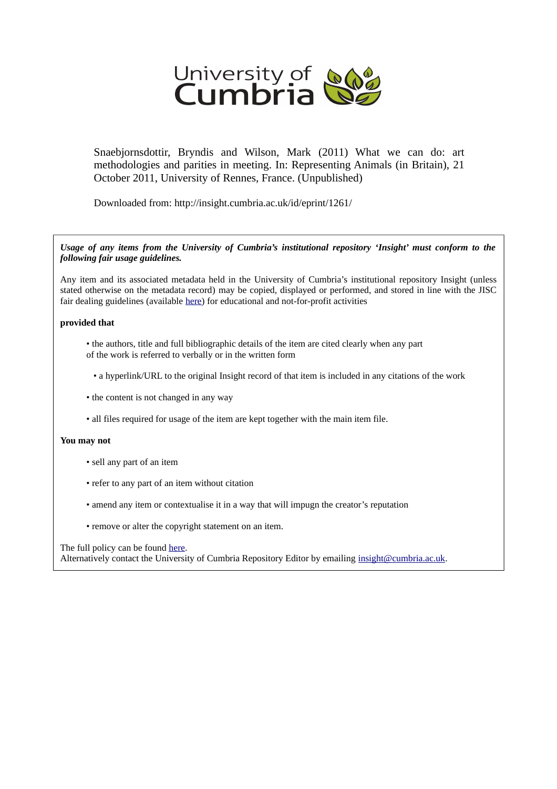

Snaebjornsdottir, Bryndis and Wilson, Mark (2011) What we can do: art methodologies and parities in meeting. In: Representing Animals (in Britain), 21 October 2011, University of Rennes, France. (Unpublished)

Downloaded from: http://insight.cumbria.ac.uk/id/eprint/1261/

#### *Usage of any items from the University of Cumbria's institutional repository 'Insight' must conform to the following fair usage guidelines.*

Any item and its associated metadata held in the University of Cumbria's institutional repository Insight (unless stated otherwise on the metadata record) may be copied, displayed or performed, and stored in line with the JISC fair dealing guidelines (available [here\)](http://www.ukoln.ac.uk/services/elib/papers/pa/fair/) for educational and not-for-profit activities

### **provided that**

- the authors, title and full bibliographic details of the item are cited clearly when any part of the work is referred to verbally or in the written form
	- a hyperlink/URL to the original Insight record of that item is included in any citations of the work
- the content is not changed in any way
- all files required for usage of the item are kept together with the main item file.

#### **You may not**

- sell any part of an item
- refer to any part of an item without citation
- amend any item or contextualise it in a way that will impugn the creator's reputation
- remove or alter the copyright statement on an item.

#### The full policy can be found [here.](http://insight.cumbria.ac.uk/legal.html#section5)

Alternatively contact the University of Cumbria Repository Editor by emailing [insight@cumbria.ac.uk.](mailto:insight@cumbria.ac.uk)